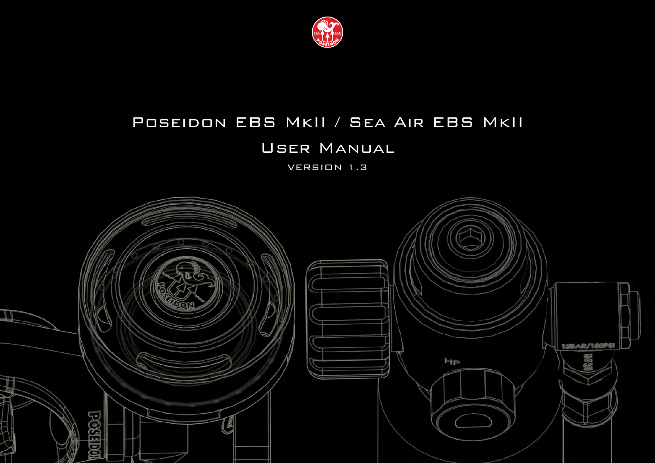

# Poseidon EBS MkII / Sea Air EBS MkII

# User Manual

VERSION 1.3

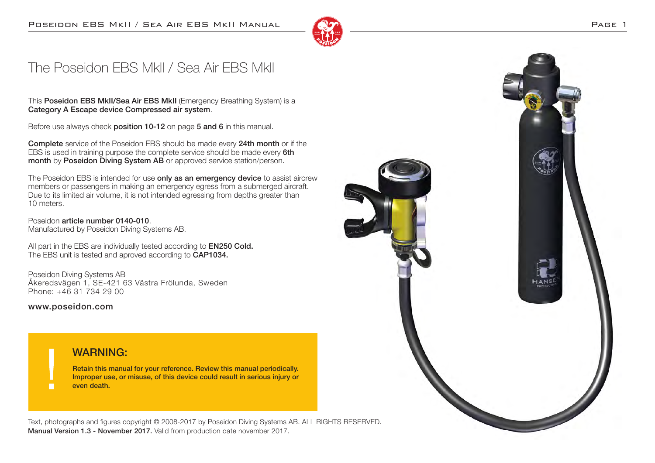

# The Poseidon EBS MkII / Sea Air EBS MkII

This Poseidon EBS MkII/Sea Air EBS MkII (Emergency Breathing System) is a Category A Escape device Compressed air system.

Before use always check position 10-12 on page 5 and 6 in this manual.

Complete service of the Poseidon EBS should be made every 24th month or if the EBS is used in training purpose the complete service should be made every 6th month by Poseidon Diving System AB or approved service station/person.

The Poseidon EBS is intended for use only as an emergency device to assist aircrew members or passengers in making an emergency egress from a submerged aircraft. Due to its limited air volume, it is not intended egressing from depths greater than 10 meters.

Poseidon article number 0140-010. Manufactured by Poseidon Diving Systems AB.

All part in the EBS are individually tested according to **EN250 Cold.** The EBS unit is tested and aproved according to CAP1034.

Poseidon Diving Systems AB Åkeredsvägen 1, SE-421 63 Västra Frölunda, Sweden Phone: +46 31 734 29 00

www.poseidon.com

#### WARNING:

Retain this manual for your reference. Review this manual periodically. Improper use, or misuse, of this device could result in serious injury or even death.

Text, photographs and figures copyright © 2008-2017 by Poseidon Diving Systems AB. ALL RIGHTS RESERVED. Manual Version 1.3 - November 2017. Valid from production date november 2017.

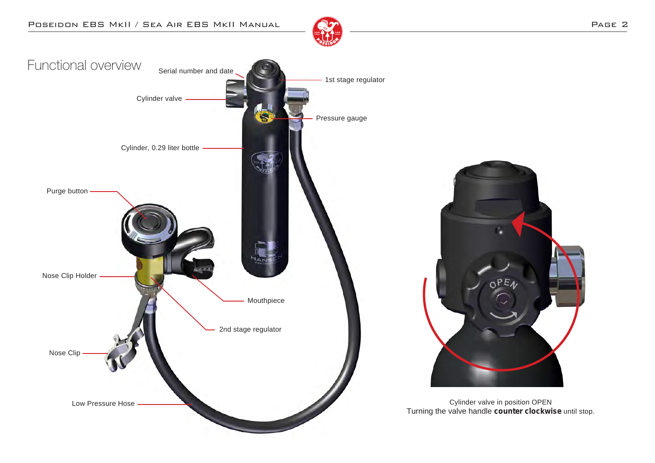





Cylinder valve in position OPEN Turning the valve handle **counter clockwise** until stop.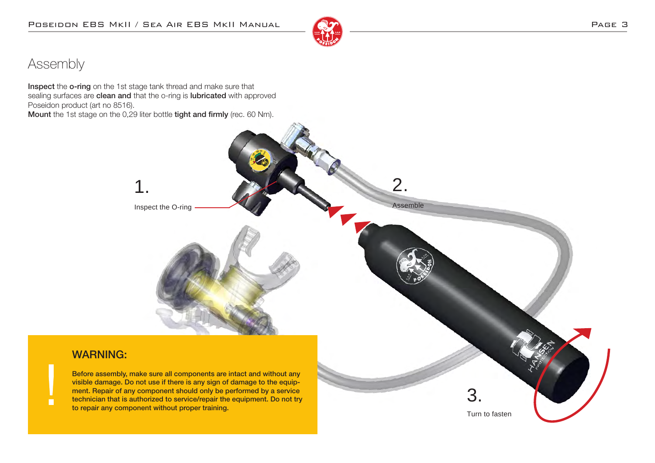

## Assembly

П

Inspect the o-ring on the 1st stage tank thread and make sure that sealing surfaces are clean and that the o-ring is lubricated with approved Poseidon product (art no 8516).

Mount the 1st stage on the 0,29 liter bottle tight and firmly (rec. 60 Nm).

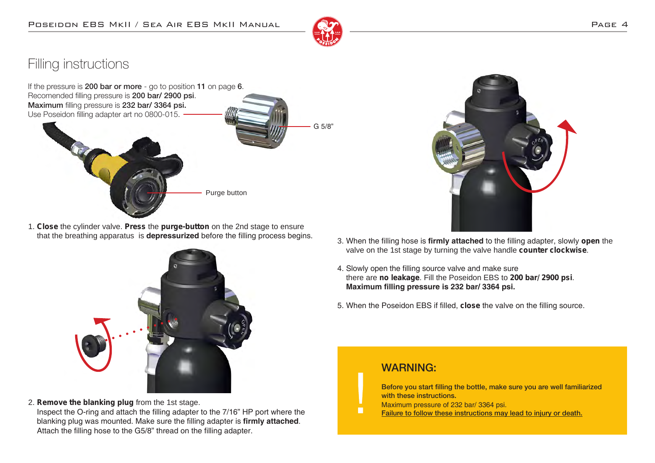

## Filling instructions



1. **Close** the cylinder valve. **Press** the **purge-button** on the 2nd stage to ensure that the breathing apparatus is **depressurized** before the filling process begins.



2. **Remove the blanking plug** from the 1st stage.

 Inspect the O-ring and attach the filling adapter to the 7/16" HP port where the blanking plug was mounted. Make sure the filling adapter is **firmly attached**. Attach the filling hose to the G5/8" thread on the filling adapter.



- 3. When the filling hose is **firmly attached** to the filling adapter, slowly **open** the valve on the 1st stage by turning the valve handle **counter clockwise**.
- 4. Slowly open the filling source valve and make sure there are **no leakage**. Fill the Poseidon EBS to **200 bar/ 2900 psi**. **Maximum filling pressure is 232 bar/ 3364 psi.**
- 5. When the Poseidon EBS if filled, **close** the valve on the filling source.

#### WARNING:

 $\blacksquare$ 

Before you start filling the bottle, make sure you are well familiarized with these instructions.

- Maximum pressure of 232 bar/ 3364 psi.
- Failure to follow these instructions may lead to injury or death.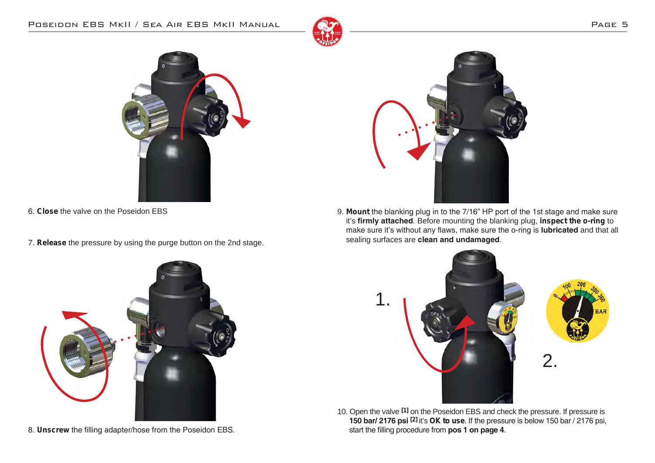#### POSEIDON EBS MKII / SEA AIR EBS MKII MANUAL 2020 CHARGE 5







- 6. **Close** the valve on the Poseidon EBS
- 7. **Release** the pressure by using the purge button on the 2nd stage.



8. **Unscrew** the filling adapter/hose from the Poseidon EBS.

9. **Mount** the blanking plug in to the 7/16" HP port of the 1st stage and make sure it's **firmly attached**. Before mounting the blanking plug, **inspect the o-ring** to make sure it's without any flaws, make sure the o-ring is **lubricated** and that all sealing surfaces are **clean and undamaged**.



10. Open the valve **[1]** on the Poseidon EBS and check the pressure. If pressure is  **150 bar/ 2176 psi [2]** it's **OK to use**. If the pressure is below 150 bar / 2176 psi, start the filling procedure from **pos 1 on page 4**.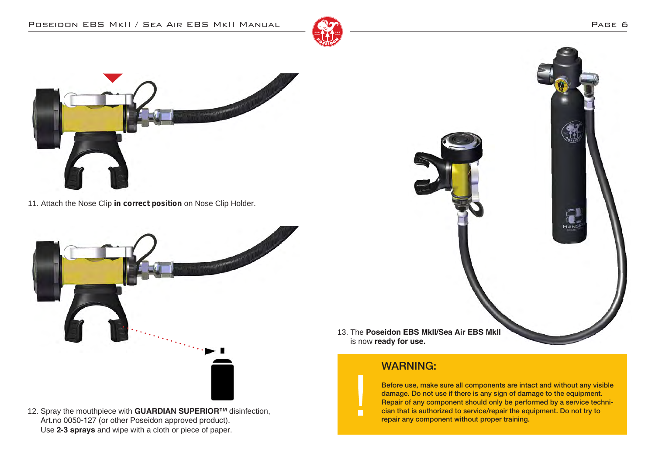



11. Attach the Nose Clip **in correct position** on Nose Clip Holder.



12. Spray the mouthpiece with **GUARDIAN SUPERIOR™** disinfection, Art.no 0050-127 (or other Poseidon approved product). Use **2-3 sprays** and wipe with a cloth or piece of paper.



is now **ready for use.**

### WARNING:

 $\blacksquare$ 

Before use, make sure all components are intact and without any visible damage. Do not use if there is any sign of damage to the equipment. Repair of any component should only be performed by a service technician that is authorized to service/repair the equipment. Do not try to repair any component without proper training.